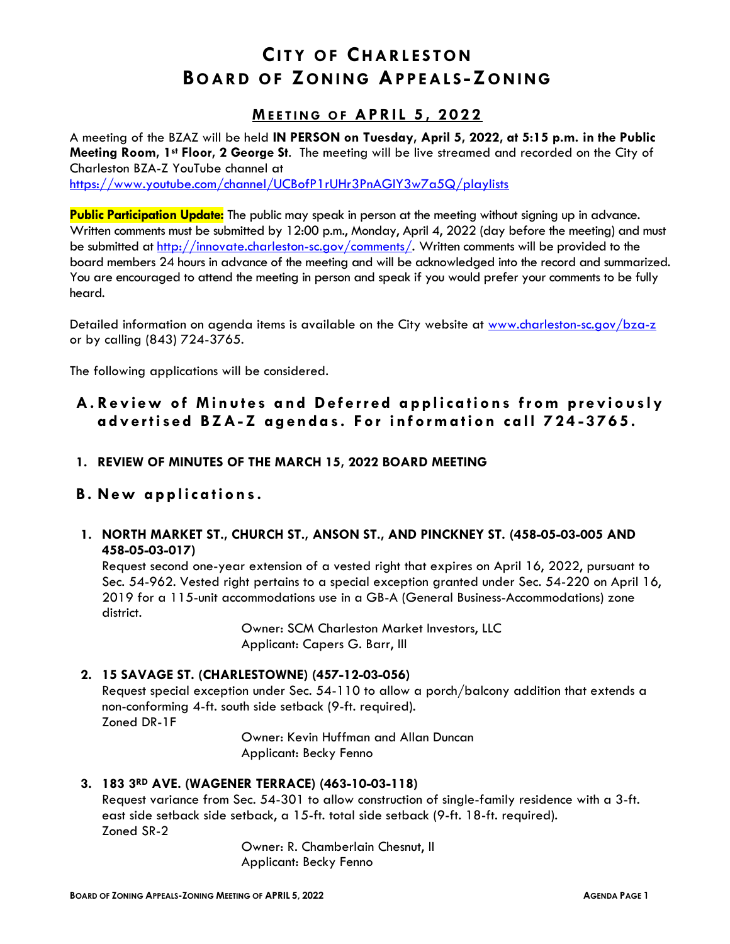# **CITY OF CHARLESTON BO AR D O F ZO N I N G AP PE AL S -ZO N I NG**

### **ME E T I N G O F A P R I L 5 , 2 0 2 2**

A meeting of the BZAZ will be held **IN PERSON on Tuesday, April 5, 2022, at 5:15 p.m. in the Public Meeting Room, 1st Floor, 2 George St**. The meeting will be live streamed and recorded on the City of Charleston BZA-Z YouTube channel at

<https://www.youtube.com/channel/UCBofP1rUHr3PnAGIY3w7a5Q/playlists>

Public Participation Update: The public may speak in person at the meeting without signing up in advance. Written comments must be submitted by 12:00 p.m., Monday, April 4, 2022 (day before the meeting) and must be submitted at [http://innovate.charleston-sc.gov/comments/.](http://innovate.charleston-sc.gov/comments/) Written comments will be provided to the board members 24 hours in advance of the meeting and will be acknowledged into the record and summarized. You are encouraged to attend the meeting in person and speak if you would prefer your comments to be fully heard.

Detailed information on agenda items is available on the City website at [www.charleston-sc.gov/bza-z](http://www.charleston-sc.gov/bza-z) or by calling (843) 724-3765.

The following applications will be considered.

## A. Review of Minutes and Deferred applications from previously **a d v e r t i s e d B Z A- Z a g e n d a s . F o r i n f o r m a t io n c a l l 7 2 4 - 3 7 6 5 .**

- **1. REVIEW OF MINUTES OF THE MARCH 15, 2022 BOARD MEETING**
- **B . N e w a p p l ic a t io n s .**
- **1. NORTH MARKET ST., CHURCH ST., ANSON ST., AND PINCKNEY ST. (458-05-03-005 AND 458-05-03-017)**

Request second one-year extension of a vested right that expires on April 16, 2022, pursuant to Sec. 54-962. Vested right pertains to a special exception granted under Sec. 54-220 on April 16, 2019 for a 115-unit accommodations use in a GB-A (General Business-Accommodations) zone district.

> Owner: SCM Charleston Market Investors, LLC Applicant: Capers G. Barr, III

#### **2. 15 SAVAGE ST. (CHARLESTOWNE) (457-12-03-056)**

Request special exception under Sec. 54-110 to allow a porch/balcony addition that extends a non-conforming 4-ft. south side setback (9-ft. required). Zoned DR-1F

> Owner: Kevin Huffman and Allan Duncan Applicant: Becky Fenno

#### **3. 183 3RD AVE. (WAGENER TERRACE) (463-10-03-118)**

Request variance from Sec. 54-301 to allow construction of single-family residence with a 3-ft. east side setback side setback, a 15-ft. total side setback (9-ft. 18-ft. required). Zoned SR-2

> Owner: R. Chamberlain Chesnut, II Applicant: Becky Fenno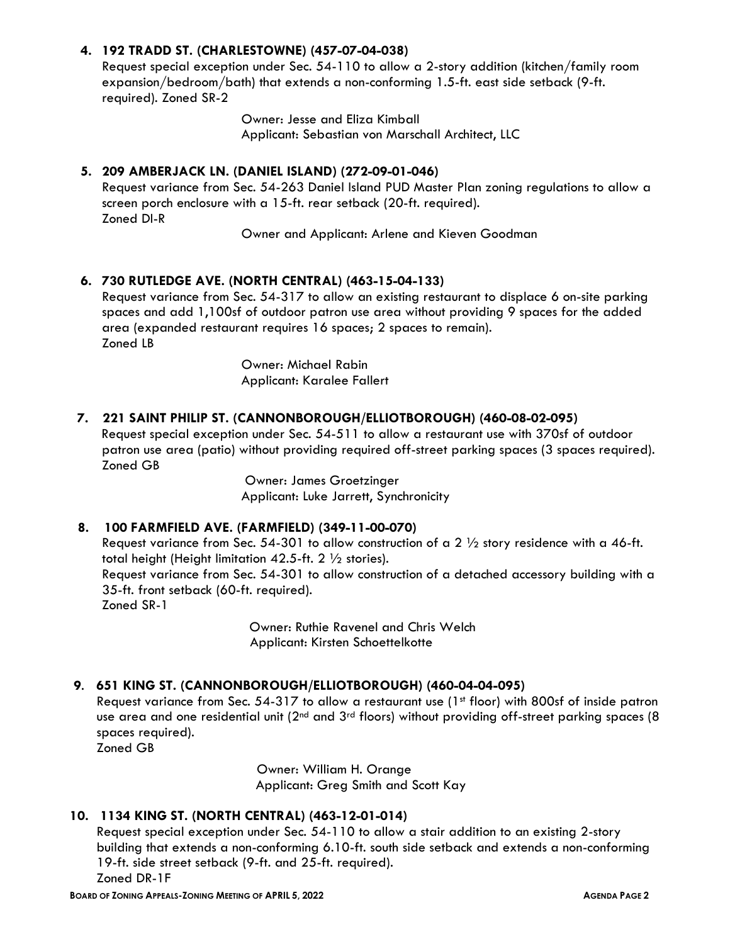#### **4. 192 TRADD ST. (CHARLESTOWNE) (457-07-04-038)**

Request special exception under Sec. 54-110 to allow a 2-story addition (kitchen/family room expansion/bedroom/bath) that extends a non-conforming 1.5-ft. east side setback (9-ft. required). Zoned SR-2

> Owner: Jesse and Eliza Kimball Applicant: Sebastian von Marschall Architect, LLC

#### **5. 209 AMBERJACK LN. (DANIEL ISLAND) (272-09-01-046)**

Request variance from Sec. 54-263 Daniel Island PUD Master Plan zoning regulations to allow a screen porch enclosure with a 15-ft. rear setback (20-ft. required). Zoned DI-R

Owner and Applicant: Arlene and Kieven Goodman

#### **6. 730 RUTLEDGE AVE. (NORTH CENTRAL) (463-15-04-133)**

Request variance from Sec. 54-317 to allow an existing restaurant to displace 6 on-site parking spaces and add 1,100sf of outdoor patron use area without providing 9 spaces for the added area (expanded restaurant requires 16 spaces; 2 spaces to remain). Zoned LB

> Owner: Michael Rabin Applicant: Karalee Fallert

#### **7. 221 SAINT PHILIP ST. (CANNONBOROUGH/ELLIOTBOROUGH) (460-08-02-095)**

 Request special exception under Sec. 54-511 to allow a restaurant use with 370sf of outdoor patron use area (patio) without providing required off-street parking spaces (3 spaces required). Zoned GB

> Owner: James Groetzinger Applicant: Luke Jarrett, Synchronicity

#### **8. 100 FARMFIELD AVE. (FARMFIELD) (349-11-00-070)**

Request variance from Sec. 54-301 to allow construction of a 2  $\frac{1}{2}$  story residence with a 46-ft. total height (Height limitation 42.5-ft.  $2 \frac{1}{2}$  stories). Request variance from Sec. 54-301 to allow construction of a detached accessory building with a 35-ft. front setback (60-ft. required). Zoned SR-1

> Owner: Ruthie Ravenel and Chris Welch Applicant: Kirsten Schoettelkotte

#### **9**. **651 KING ST. (CANNONBOROUGH/ELLIOTBOROUGH) (460-04-04-095)**

Request variance from Sec. 54-317 to allow a restaurant use (1st floor) with 800sf of inside patron use area and one residential unit (2<sup>nd</sup> and 3<sup>rd</sup> floors) without providing off-street parking spaces (8 spaces required).

Zoned GB

Owner: William H. Orange Applicant: Greg Smith and Scott Kay

#### **10. 1134 KING ST. (NORTH CENTRAL) (463-12-01-014)**

Request special exception under Sec. 54-110 to allow a stair addition to an existing 2-story building that extends a non-conforming 6.10-ft. south side setback and extends a non-conforming 19-ft. side street setback (9-ft. and 25-ft. required). Zoned DR-1F